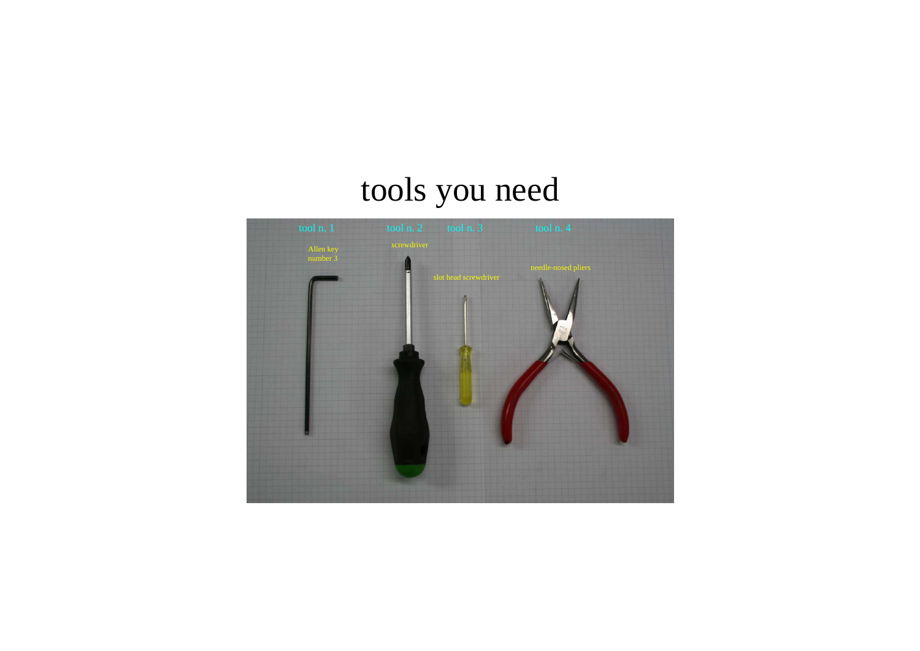## tools you need

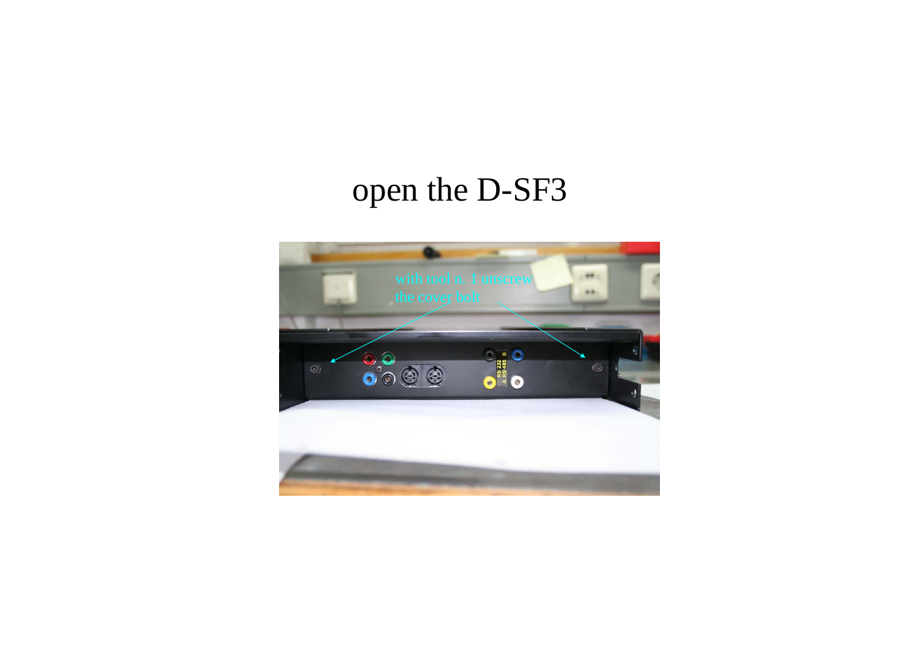## open the D-SF3

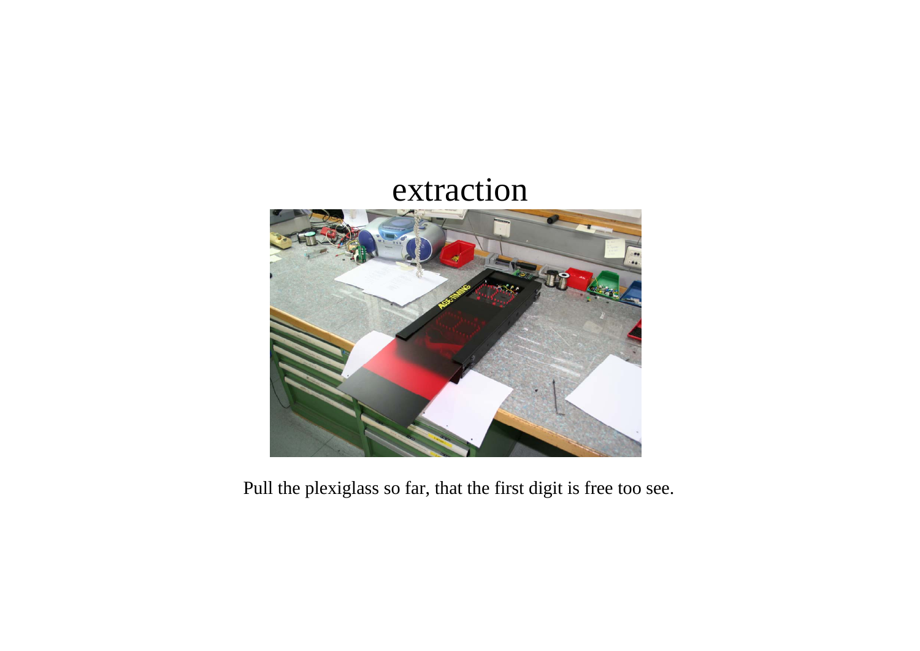### extraction



Pull the plexiglass so far, that the first digit is free too see.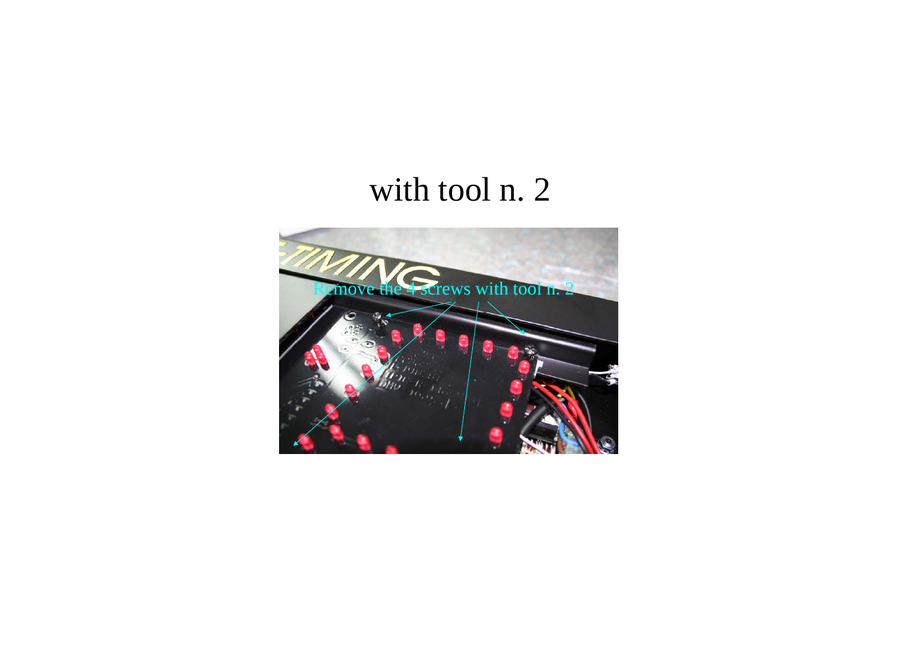## with tool n. 2

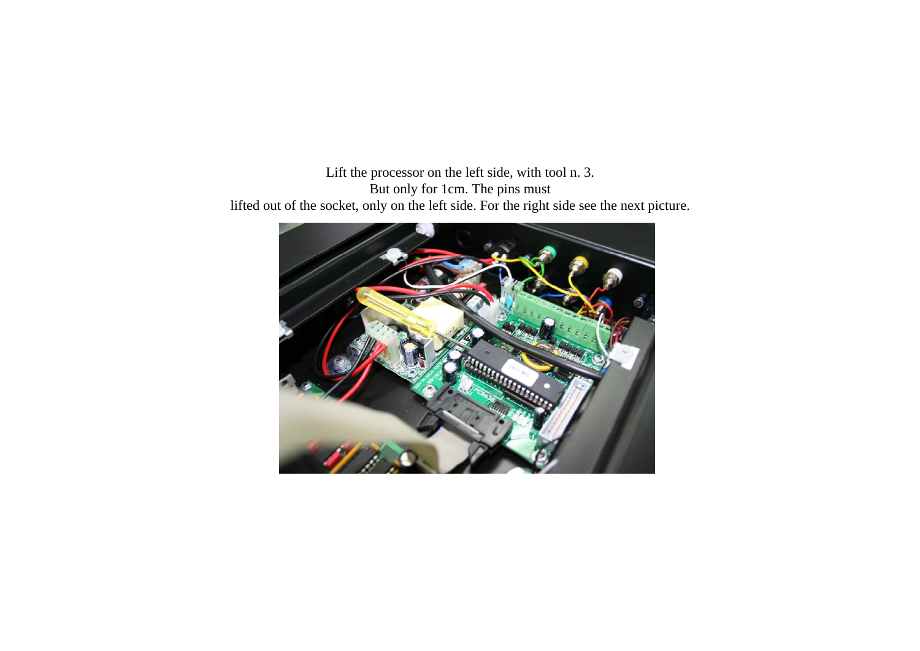Lift the processor on the left side, with tool n. 3. But only for 1cm. The pins must

lifted out of the socket, only on the left side. For the right side see the next picture.

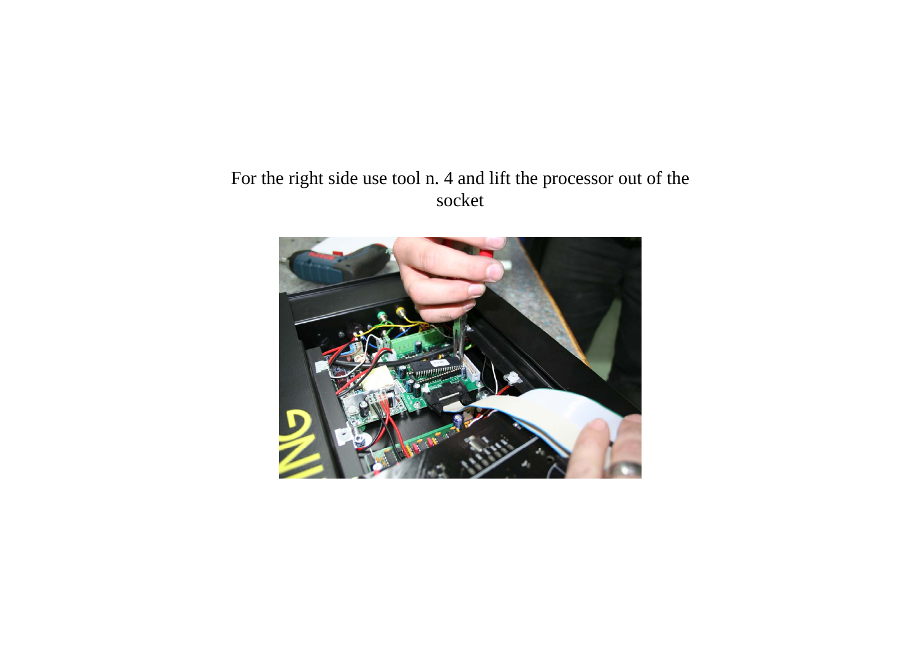#### For the right side use tool n. 4 and lift the processor out of the socket

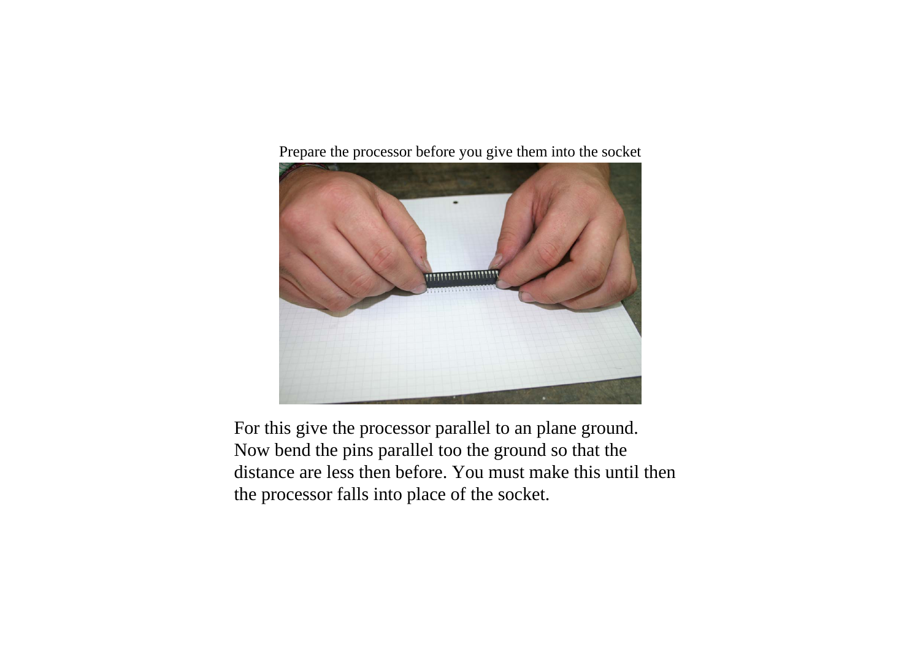Prepare the processor before you give them into the socket



For this give the processor parallel to an plane ground. Now bend the pins parallel too the ground so that the distance are less then before. You must make this until thenthe processor falls into place of the socket.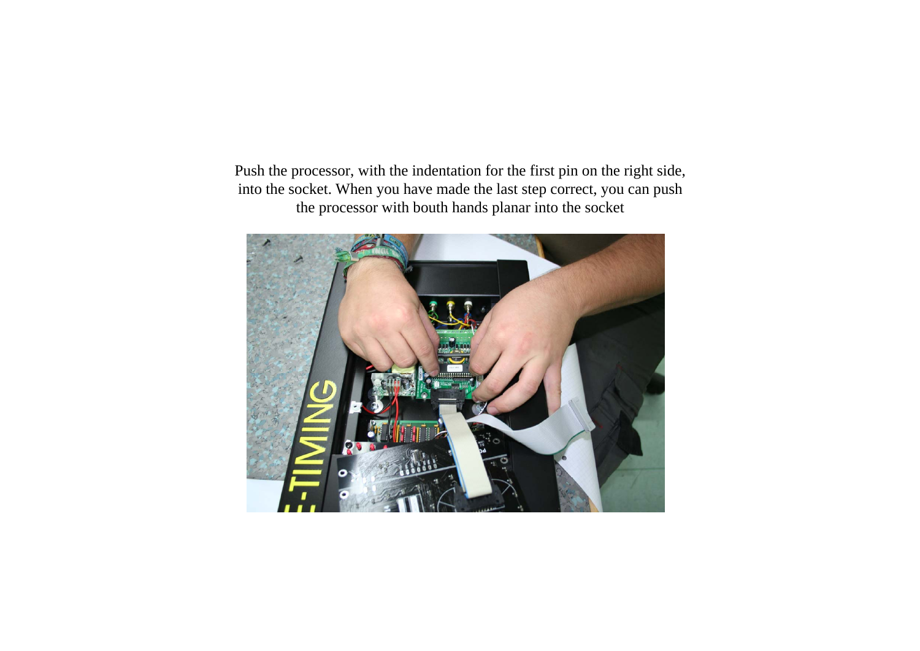Push the processor, with the indentation for the first pin on the right side, into the socket. When you have made the last step correct, you can push the processor with bouth hands planar into the socket